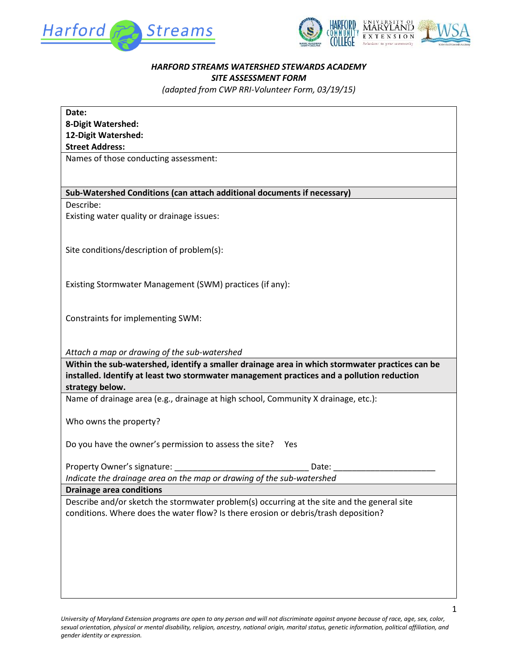



## *HARFORD STREAMS WATERSHED STEWARDS ACADEMY SITE ASSESSMENT FORM*

*(adapted from CWP RRI-Volunteer Form, 03/19/15)*

| Date:<br>8-Digit Watershed:<br>12-Digit Watershed:<br><b>Street Address:</b>                    |
|-------------------------------------------------------------------------------------------------|
| Names of those conducting assessment:                                                           |
|                                                                                                 |
| Sub-Watershed Conditions (can attach additional documents if necessary)                         |
| Describe:                                                                                       |
| Existing water quality or drainage issues:                                                      |
| Site conditions/description of problem(s):                                                      |
|                                                                                                 |
| Existing Stormwater Management (SWM) practices (if any):                                        |
|                                                                                                 |
| Constraints for implementing SWM:                                                               |
| Attach a map or drawing of the sub-watershed                                                    |
| Within the sub-watershed, identify a smaller drainage area in which stormwater practices can be |
| installed. Identify at least two stormwater management practices and a pollution reduction      |
| strategy below.                                                                                 |
| Name of drainage area (e.g., drainage at high school, Community X drainage, etc.):              |
|                                                                                                 |
|                                                                                                 |
| Who owns the property?                                                                          |
|                                                                                                 |
| Do you have the owner's permission to assess the site?<br>Yes                                   |
|                                                                                                 |
| Property Owner's signature:<br>Date:                                                            |
| Indicate the drainage area on the map or drawing of the sub-watershed                           |
| <b>Drainage area conditions</b>                                                                 |
| Describe and/or sketch the stormwater problem(s) occurring at the site and the general site     |
| conditions. Where does the water flow? Is there erosion or debris/trash deposition?             |
|                                                                                                 |
|                                                                                                 |
|                                                                                                 |
|                                                                                                 |
|                                                                                                 |
|                                                                                                 |

*University of Maryland Extension programs are open to any person and will not discriminate against anyone because of race, age, sex, color, sexual orientation, physical or mental disability, religion, ancestry, national origin, marital status, genetic information, political affiliation, and gender identity or expression.*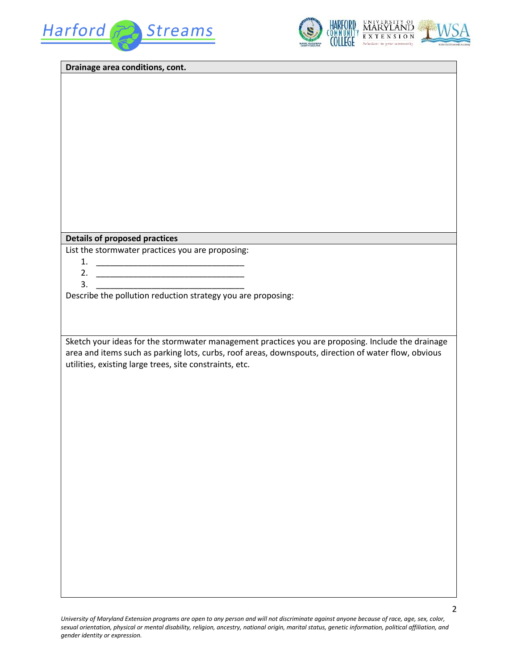



| Drainage area conditions, cont.                                                                      |
|------------------------------------------------------------------------------------------------------|
|                                                                                                      |
|                                                                                                      |
|                                                                                                      |
|                                                                                                      |
|                                                                                                      |
|                                                                                                      |
|                                                                                                      |
|                                                                                                      |
|                                                                                                      |
|                                                                                                      |
|                                                                                                      |
|                                                                                                      |
|                                                                                                      |
| <b>Details of proposed practices</b>                                                                 |
| List the stormwater practices you are proposing:                                                     |
|                                                                                                      |
| <u> 1989 - Jan James James Barbara, martxa a shekara 1980</u><br>3.                                  |
| Describe the pollution reduction strategy you are proposing:                                         |
|                                                                                                      |
|                                                                                                      |
|                                                                                                      |
| Sketch your ideas for the stormwater management practices you are proposing. Include the drainage    |
| area and items such as parking lots, curbs, roof areas, downspouts, direction of water flow, obvious |
| utilities, existing large trees, site constraints, etc.                                              |
|                                                                                                      |
|                                                                                                      |
|                                                                                                      |
|                                                                                                      |
|                                                                                                      |
|                                                                                                      |
|                                                                                                      |
|                                                                                                      |
|                                                                                                      |
|                                                                                                      |
|                                                                                                      |
|                                                                                                      |
|                                                                                                      |
|                                                                                                      |
|                                                                                                      |
|                                                                                                      |